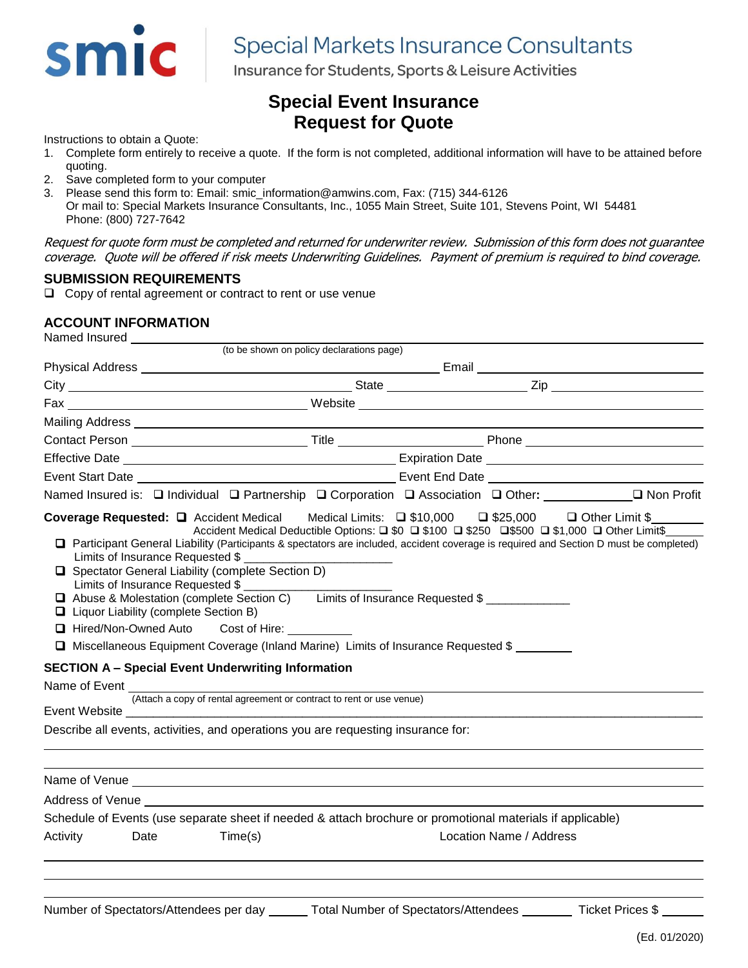

# **Special Markets Insurance Consultants**

Insurance for Students, Sports & Leisure Activities

## **Special Event Insurance Request for Quote**

Instructions to obtain a Quote:

- 1. Complete form entirely to receive a quote. If the form is not completed, additional information will have to be attained before quoting.
- 2. Save completed form to your computer
- 3. Please send this form to: Email: smic\_information@amwins.com, Fax: (715) 344-6126 Or mail to: Special Markets Insurance Consultants, Inc., 1055 Main Street, Suite 101, Stevens Point, WI 54481 Phone: (800) 727-7642

Request for quote form must be completed and returned for underwriter review. Submission of this form does not guarantee coverage. Quote will be offered if risk meets Underwriting Guidelines. Payment of premium is required to bind coverage.

### **SUBMISSION REQUIREMENTS**

❑ Copy of rental agreement or contract to rent or use venue

### **ACCOUNT INFORMATION**

| Named Insured |  |  |
|---------------|--|--|
|---------------|--|--|

|          |                                                                             | (to be shown on policy declarations page)                                                                                                                                                                                                                                                                                                                                                                                                                                                                                                                                                                                                              |  |                         |                                                                                                                                         |
|----------|-----------------------------------------------------------------------------|--------------------------------------------------------------------------------------------------------------------------------------------------------------------------------------------------------------------------------------------------------------------------------------------------------------------------------------------------------------------------------------------------------------------------------------------------------------------------------------------------------------------------------------------------------------------------------------------------------------------------------------------------------|--|-------------------------|-----------------------------------------------------------------------------------------------------------------------------------------|
|          |                                                                             |                                                                                                                                                                                                                                                                                                                                                                                                                                                                                                                                                                                                                                                        |  |                         |                                                                                                                                         |
|          |                                                                             |                                                                                                                                                                                                                                                                                                                                                                                                                                                                                                                                                                                                                                                        |  |                         |                                                                                                                                         |
|          |                                                                             |                                                                                                                                                                                                                                                                                                                                                                                                                                                                                                                                                                                                                                                        |  |                         |                                                                                                                                         |
|          |                                                                             |                                                                                                                                                                                                                                                                                                                                                                                                                                                                                                                                                                                                                                                        |  |                         |                                                                                                                                         |
|          |                                                                             |                                                                                                                                                                                                                                                                                                                                                                                                                                                                                                                                                                                                                                                        |  |                         | Contact Person ___________________________________Title _________________________Phone _______________________                          |
|          |                                                                             |                                                                                                                                                                                                                                                                                                                                                                                                                                                                                                                                                                                                                                                        |  |                         |                                                                                                                                         |
|          |                                                                             |                                                                                                                                                                                                                                                                                                                                                                                                                                                                                                                                                                                                                                                        |  |                         |                                                                                                                                         |
|          |                                                                             |                                                                                                                                                                                                                                                                                                                                                                                                                                                                                                                                                                                                                                                        |  |                         | Named Insured is: □ Individual □ Partnership □ Corporation □ Association □ Other: ___________ □ Non Profit                              |
|          | Limits of Insurance Requested \$<br>□ Liquor Liability (complete Section B) | Coverage Requested: Q Accident Medical Medical Limits: Q \$10,000 Q \$25,000 Q Other Limit \$<br>Accident Medical Deductible Options: □ \$0 □ \$100 □ \$250 □\$500 □ \$1,000 □ Other Limit\$<br>□ Spectator General Liability (complete Section D)<br>Limits of Insurance Requested \$<br>□ Abuse & Molestation (complete Section C) Limits of Insurance Requested \$<br>□ Hired/Non-Owned Auto Cost of Hire:<br>□ Miscellaneous Equipment Coverage (Inland Marine) Limits of Insurance Requested \$<br><b>SECTION A - Special Event Underwriting Information</b><br>Describe all events, activities, and operations you are requesting insurance for: |  |                         | □ Participant General Liability (Participants & spectators are included, accident coverage is required and Section D must be completed) |
|          |                                                                             |                                                                                                                                                                                                                                                                                                                                                                                                                                                                                                                                                                                                                                                        |  |                         |                                                                                                                                         |
|          |                                                                             |                                                                                                                                                                                                                                                                                                                                                                                                                                                                                                                                                                                                                                                        |  |                         |                                                                                                                                         |
|          |                                                                             | Schedule of Events (use separate sheet if needed & attach brochure or promotional materials if applicable)                                                                                                                                                                                                                                                                                                                                                                                                                                                                                                                                             |  |                         |                                                                                                                                         |
| Activity | Date                                                                        | Time(s)                                                                                                                                                                                                                                                                                                                                                                                                                                                                                                                                                                                                                                                |  | Location Name / Address |                                                                                                                                         |
|          |                                                                             |                                                                                                                                                                                                                                                                                                                                                                                                                                                                                                                                                                                                                                                        |  |                         |                                                                                                                                         |
|          |                                                                             |                                                                                                                                                                                                                                                                                                                                                                                                                                                                                                                                                                                                                                                        |  |                         |                                                                                                                                         |
|          |                                                                             |                                                                                                                                                                                                                                                                                                                                                                                                                                                                                                                                                                                                                                                        |  |                         |                                                                                                                                         |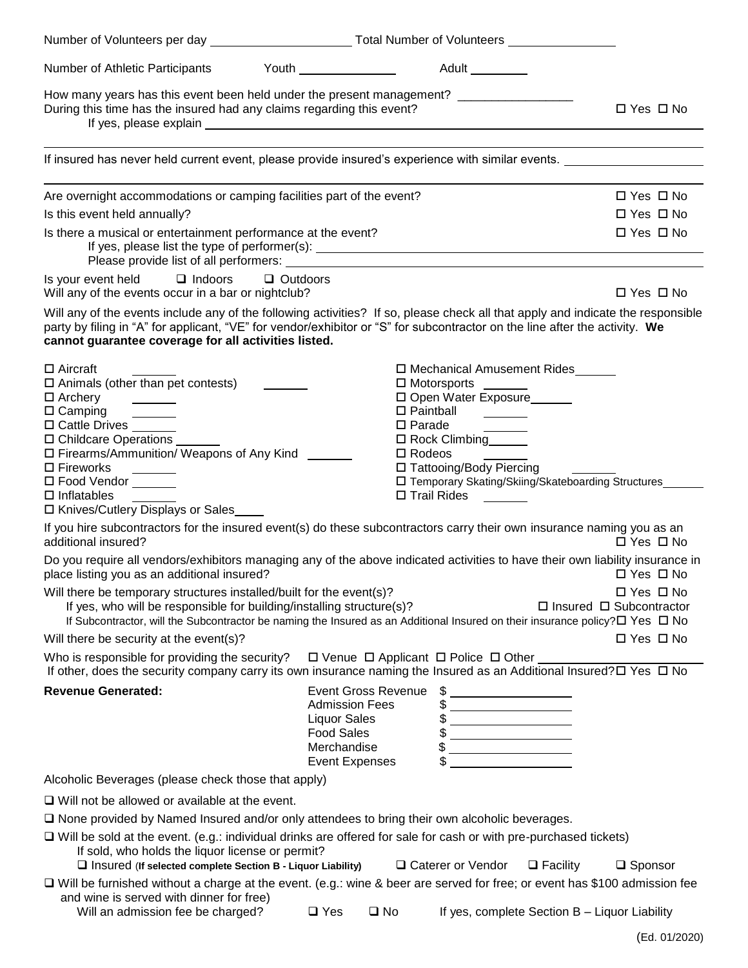| Number of Athletic Participants                                                                                                                                                                                                                                                                                                                                                                     | Adult _________                                                                                                                                                                                                                                                                                                                                                                                                                                                                                                                                                                                                                                                                                                               |                                                                                     |
|-----------------------------------------------------------------------------------------------------------------------------------------------------------------------------------------------------------------------------------------------------------------------------------------------------------------------------------------------------------------------------------------------------|-------------------------------------------------------------------------------------------------------------------------------------------------------------------------------------------------------------------------------------------------------------------------------------------------------------------------------------------------------------------------------------------------------------------------------------------------------------------------------------------------------------------------------------------------------------------------------------------------------------------------------------------------------------------------------------------------------------------------------|-------------------------------------------------------------------------------------|
| During this time has the insured had any claims regarding this event?                                                                                                                                                                                                                                                                                                                               | How many years has this event been held under the present management? _________________                                                                                                                                                                                                                                                                                                                                                                                                                                                                                                                                                                                                                                       | □ Yes □ No                                                                          |
|                                                                                                                                                                                                                                                                                                                                                                                                     | If insured has never held current event, please provide insured's experience with similar events.                                                                                                                                                                                                                                                                                                                                                                                                                                                                                                                                                                                                                             |                                                                                     |
| Are overnight accommodations or camping facilities part of the event?<br>Is this event held annually?                                                                                                                                                                                                                                                                                               |                                                                                                                                                                                                                                                                                                                                                                                                                                                                                                                                                                                                                                                                                                                               | $\Box$ Yes $\Box$ No<br>$\Box$ Yes $\Box$ No                                        |
| Is there a musical or entertainment performance at the event?                                                                                                                                                                                                                                                                                                                                       |                                                                                                                                                                                                                                                                                                                                                                                                                                                                                                                                                                                                                                                                                                                               | $\Box$ Yes $\Box$ No                                                                |
| Is your event held □ Indoors<br>Will any of the events occur in a bar or nightclub?                                                                                                                                                                                                                                                                                                                 | $\Box$ Outdoors                                                                                                                                                                                                                                                                                                                                                                                                                                                                                                                                                                                                                                                                                                               | $\Box$ Yes $\Box$ No                                                                |
| cannot guarantee coverage for all activities listed.                                                                                                                                                                                                                                                                                                                                                | Will any of the events include any of the following activities? If so, please check all that apply and indicate the responsible<br>party by filing in "A" for applicant, "VE" for vendor/exhibitor or "S" for subcontractor on the line after the activity. We                                                                                                                                                                                                                                                                                                                                                                                                                                                                |                                                                                     |
| $\Box$ Aircraft<br>$\square$ Animals (other than pet contests)<br>$\Box$ Archery<br>$\overline{\phantom{a}}$<br>$\Box$ Camping<br>$\mathcal{L}^{\text{max}}$ , and $\mathcal{L}^{\text{max}}$<br>□ Cattle Drives<br>□ Childcare Operations<br>□ Firearms/Ammunition/ Weapons of Any Kind<br>$\square$ Fireworks<br>□ Food Vendor ______<br>$\Box$ Inflatables<br>□ Knives/Cutlery Displays or Sales | □ Mechanical Amusement Rides<br>$\Box$ Motorsports _______<br>□ Open Water Exposure<br>$\square$ Paintball<br>$\square$ Parade<br>□ Rock Climbing______<br>$\Box$ Rodeos<br>□ Tattooing/Body Piercing<br>□ Temporary Skating/Skiing/Skateboarding Structures<br>$\Box$ Trail Rides                                                                                                                                                                                                                                                                                                                                                                                                                                            |                                                                                     |
| additional insured?                                                                                                                                                                                                                                                                                                                                                                                 | If you hire subcontractors for the insured event(s) do these subcontractors carry their own insurance naming you as an                                                                                                                                                                                                                                                                                                                                                                                                                                                                                                                                                                                                        | $\Box$ Yes $\Box$ No                                                                |
| place listing you as an additional insured?                                                                                                                                                                                                                                                                                                                                                         | Do you require all vendors/exhibitors managing any of the above indicated activities to have their own liability insurance in                                                                                                                                                                                                                                                                                                                                                                                                                                                                                                                                                                                                 | $\Box$ Yes $\Box$ No                                                                |
| Will there be temporary structures installed/built for the event(s)?<br>If yes, who will be responsible for building/installing structure(s)?<br>Will there be security at the event(s)?                                                                                                                                                                                                            | If Subcontractor, will the Subcontractor be naming the Insured as an Additional Insured on their insurance policy? $\square$ Yes $\square$ No                                                                                                                                                                                                                                                                                                                                                                                                                                                                                                                                                                                 | $\Box$ Yes $\Box$ No<br>$\Box$ Insured $\Box$ Subcontractor<br>$\Box$ Yes $\Box$ No |
| Who is responsible for providing the security?                                                                                                                                                                                                                                                                                                                                                      | $\Box$ Venue $\Box$ Applicant $\Box$ Police $\Box$ Other                                                                                                                                                                                                                                                                                                                                                                                                                                                                                                                                                                                                                                                                      |                                                                                     |
| <b>Revenue Generated:</b>                                                                                                                                                                                                                                                                                                                                                                           | If other, does the security company carry its own insurance naming the Insured as an Additional Insured? $\square$ Yes $\square$ No<br><b>Event Gross Revenue</b><br>$\frac{1}{2}$<br><b>Admission Fees</b><br><b>Liquor Sales</b><br>$\frac{1}{2}$<br>$\begin{picture}(20,10) \put(0,0){\vector(1,0){100}} \put(15,0){\vector(1,0){100}} \put(15,0){\vector(1,0){100}} \put(15,0){\vector(1,0){100}} \put(15,0){\vector(1,0){100}} \put(15,0){\vector(1,0){100}} \put(15,0){\vector(1,0){100}} \put(15,0){\vector(1,0){100}} \put(15,0){\vector(1,0){100}} \put(15,0){\vector(1,0){100}} \put(15,0){\vector(1,0){100}} \$<br><b>Food Sales</b><br>$\begin{array}{c c} \uparrow \end{array}$<br>Merchandise<br>Event Expenses |                                                                                     |
| Alcoholic Beverages (please check those that apply)                                                                                                                                                                                                                                                                                                                                                 |                                                                                                                                                                                                                                                                                                                                                                                                                                                                                                                                                                                                                                                                                                                               |                                                                                     |
| $\Box$ Will not be allowed or available at the event.                                                                                                                                                                                                                                                                                                                                               |                                                                                                                                                                                                                                                                                                                                                                                                                                                                                                                                                                                                                                                                                                                               |                                                                                     |
|                                                                                                                                                                                                                                                                                                                                                                                                     | □ None provided by Named Insured and/or only attendees to bring their own alcoholic beverages.                                                                                                                                                                                                                                                                                                                                                                                                                                                                                                                                                                                                                                |                                                                                     |
| If sold, who holds the liquor license or permit?<br>$\Box$ Insured (If selected complete Section B - Liquor Liability)                                                                                                                                                                                                                                                                              | $\Box$ Will be sold at the event. (e.g.: individual drinks are offered for sale for cash or with pre-purchased tickets)<br>□ Caterer or Vendor<br>$\Box$ Facility                                                                                                                                                                                                                                                                                                                                                                                                                                                                                                                                                             | $\square$ Sponsor                                                                   |
|                                                                                                                                                                                                                                                                                                                                                                                                     | □ Will be furnished without a charge at the event. (e.g.: wine & beer are served for free; or event has \$100 admission fee                                                                                                                                                                                                                                                                                                                                                                                                                                                                                                                                                                                                   |                                                                                     |
| and wine is served with dinner for free)<br>Will an admission fee be charged?                                                                                                                                                                                                                                                                                                                       | $\Box$ Yes<br>If yes, complete Section B - Liquor Liability<br>$\square$ No                                                                                                                                                                                                                                                                                                                                                                                                                                                                                                                                                                                                                                                   |                                                                                     |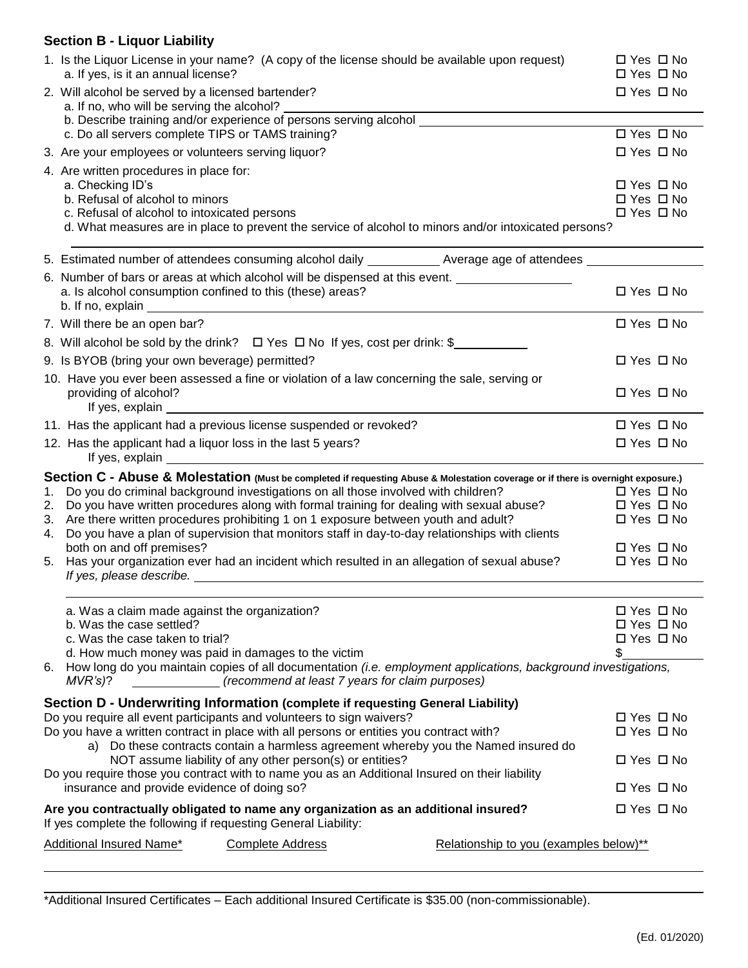### **Section B - Liquor Liability**

|                                                                                  | 1. Is the Liquor License in your name? (A copy of the license should be available upon request)<br>a. If yes, is it an annual license?                                                                                                                                                                                                                  | $\Box$ Yes $\Box$ No<br>$\Box$ Yes $\Box$ No |                      |  |
|----------------------------------------------------------------------------------|---------------------------------------------------------------------------------------------------------------------------------------------------------------------------------------------------------------------------------------------------------------------------------------------------------------------------------------------------------|----------------------------------------------|----------------------|--|
|                                                                                  | 2. Will alcohol be served by a licensed bartender?<br>a. If no, who will be serving the alcohol?                                                                                                                                                                                                                                                        |                                              |                      |  |
|                                                                                  | b. Describe training and/or experience of persons serving alcohol<br>c. Do all servers complete TIPS or TAMS training?                                                                                                                                                                                                                                  | □ Yes □ No                                   |                      |  |
|                                                                                  | 3. Are your employees or volunteers serving liquor?                                                                                                                                                                                                                                                                                                     | $\Box$ Yes $\Box$ No                         |                      |  |
|                                                                                  | 4. Are written procedures in place for:                                                                                                                                                                                                                                                                                                                 |                                              |                      |  |
|                                                                                  | a. Checking ID's                                                                                                                                                                                                                                                                                                                                        | $\Box$ Yes $\Box$ No                         |                      |  |
|                                                                                  | b. Refusal of alcohol to minors<br>c. Refusal of alcohol to intoxicated persons                                                                                                                                                                                                                                                                         | $\Box$ Yes $\Box$ No<br>□ Yes □ No           |                      |  |
|                                                                                  | d. What measures are in place to prevent the service of alcohol to minors and/or intoxicated persons?                                                                                                                                                                                                                                                   |                                              |                      |  |
|                                                                                  | 5. Estimated number of attendees consuming alcohol daily _____________ Average age of attendees _____________                                                                                                                                                                                                                                           |                                              |                      |  |
|                                                                                  | 6. Number of bars or areas at which alcohol will be dispensed at this event. ______________________                                                                                                                                                                                                                                                     |                                              |                      |  |
|                                                                                  | a. Is alcohol consumption confined to this (these) areas?<br>b. If no, explain example and the state of the state of the state of the state of the state of the state of the state of the state of the state of the state of the state of the state of the state of the state of the state                                                              | $\Box$ Yes $\Box$ No                         |                      |  |
|                                                                                  | 7. Will there be an open bar?                                                                                                                                                                                                                                                                                                                           | $\Box$ Yes $\Box$ No                         |                      |  |
|                                                                                  | 8. Will alcohol be sold by the drink? $\Box$ Yes $\Box$ No If yes, cost per drink: \$                                                                                                                                                                                                                                                                   |                                              |                      |  |
|                                                                                  | 9. Is BYOB (bring your own beverage) permitted?                                                                                                                                                                                                                                                                                                         | $\Box$ Yes $\Box$ No                         |                      |  |
|                                                                                  | 10. Have you ever been assessed a fine or violation of a law concerning the sale, serving or<br>providing of alcohol?<br>If yes, explain example and the state of the state of the state of the state of the state of the state of the state of the state of the state of the state of the state of the state of the state of the state of the state of | □ Yes □ No                                   |                      |  |
|                                                                                  | 11. Has the applicant had a previous license suspended or revoked?                                                                                                                                                                                                                                                                                      | $\Box$ Yes $\Box$ No                         |                      |  |
|                                                                                  | 12. Has the applicant had a liquor loss in the last 5 years?<br>If yes, explain example and the state of the state of the state of the state of the state of the state of the state of the state of the state of the state of the state of the state of the state of the state of the state of                                                          | $\Box$ Yes $\Box$ No                         |                      |  |
|                                                                                  | Section C - Abuse & Molestation (Must be completed if requesting Abuse & Molestation coverage or if there is overnight exposure.)                                                                                                                                                                                                                       |                                              |                      |  |
| 1.                                                                               | Do you do criminal background investigations on all those involved with children?                                                                                                                                                                                                                                                                       | □ Yes □ No                                   |                      |  |
| 2.                                                                               | Do you have written procedures along with formal training for dealing with sexual abuse?<br>3. Are there written procedures prohibiting 1 on 1 exposure between youth and adult?                                                                                                                                                                        | $\Box$ Yes $\Box$ No<br>$\Box$ Yes $\Box$ No |                      |  |
| 4.                                                                               | Do you have a plan of supervision that monitors staff in day-to-day relationships with clients                                                                                                                                                                                                                                                          |                                              |                      |  |
|                                                                                  | both on and off premises?                                                                                                                                                                                                                                                                                                                               | $\Box$ Yes $\Box$ No                         |                      |  |
| 5.                                                                               | Has your organization ever had an incident which resulted in an allegation of sexual abuse?<br>If yes, please describe. Notice that the set of the set of the set of the set of the set of the set of the set of the set of the set of the set of the set of the set of the set of the set of the set of the set of the set o                           | □ Yes □ No                                   |                      |  |
|                                                                                  |                                                                                                                                                                                                                                                                                                                                                         |                                              |                      |  |
|                                                                                  | a. Was a claim made against the organization?                                                                                                                                                                                                                                                                                                           | $\Box$ Yes $\Box$ No                         |                      |  |
|                                                                                  | b. Was the case settled?<br>c. Was the case taken to trial?                                                                                                                                                                                                                                                                                             | $\Box$ Yes $\Box$ No<br>$\Box$ Yes $\Box$ No |                      |  |
|                                                                                  | d. How much money was paid in damages to the victim                                                                                                                                                                                                                                                                                                     | \$                                           |                      |  |
|                                                                                  | 6. How long do you maintain copies of all documentation (i.e. employment applications, background investigations,<br>(recommend at least 7 years for claim purposes)<br>$MVR's$ )?                                                                                                                                                                      |                                              |                      |  |
|                                                                                  | Section D - Underwriting Information (complete if requesting General Liability)                                                                                                                                                                                                                                                                         |                                              |                      |  |
| Do you require all event participants and volunteers to sign waivers?            |                                                                                                                                                                                                                                                                                                                                                         |                                              | $\Box$ Yes $\Box$ No |  |
|                                                                                  | Do you have a written contract in place with all persons or entities you contract with?<br>a) Do these contracts contain a harmless agreement whereby you the Named insured do                                                                                                                                                                          | $\Box$ Yes $\Box$ No                         |                      |  |
| NOT assume liability of any other person(s) or entities?<br>$\Box$ Yes $\Box$ No |                                                                                                                                                                                                                                                                                                                                                         |                                              |                      |  |
|                                                                                  | Do you require those you contract with to name you as an Additional Insured on their liability<br>insurance and provide evidence of doing so?                                                                                                                                                                                                           | $\Box$ Yes $\Box$ No                         |                      |  |
|                                                                                  | Are you contractually obligated to name any organization as an additional insured?<br>If yes complete the following if requesting General Liability:                                                                                                                                                                                                    | $\Box$ Yes $\Box$ No                         |                      |  |
|                                                                                  | Additional Insured Name*<br><b>Complete Address</b><br>Relationship to you (examples below)**                                                                                                                                                                                                                                                           |                                              |                      |  |